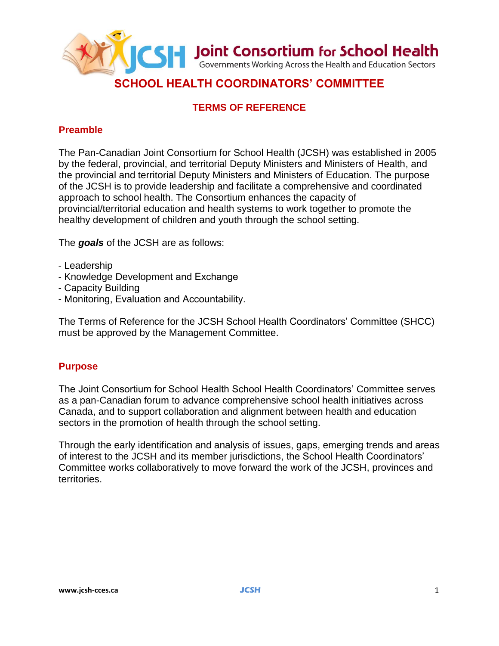

# **TERMS OF REFERENCE**

## **Preamble**

The Pan-Canadian Joint Consortium for School Health (JCSH) was established in 2005 by the federal, provincial, and territorial Deputy Ministers and Ministers of Health, and the provincial and territorial Deputy Ministers and Ministers of Education. The purpose of the JCSH is to provide leadership and facilitate a comprehensive and coordinated approach to school health. The Consortium enhances the capacity of provincial/territorial education and health systems to work together to promote the healthy development of children and youth through the school setting.

The *goals* of the JCSH are as follows:

- Leadership
- Knowledge Development and Exchange
- Capacity Building
- Monitoring, Evaluation and Accountability.

The Terms of Reference for the JCSH School Health Coordinators' Committee (SHCC) must be approved by the Management Committee.

#### **Purpose**

The Joint Consortium for School Health School Health Coordinators' Committee serves as a pan-Canadian forum to advance comprehensive school health initiatives across Canada, and to support collaboration and alignment between health and education sectors in the promotion of health through the school setting.

Through the early identification and analysis of issues, gaps, emerging trends and areas of interest to the JCSH and its member jurisdictions, the School Health Coordinators' Committee works collaboratively to move forward the work of the JCSH, provinces and territories.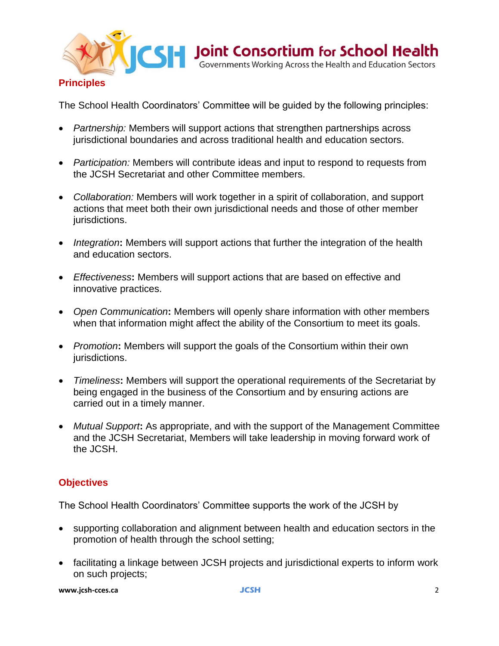

The School Health Coordinators' Committee will be guided by the following principles:

- *Partnership:* Members will support actions that strengthen partnerships across jurisdictional boundaries and across traditional health and education sectors.
- *Participation:* Members will contribute ideas and input to respond to requests from the JCSH Secretariat and other Committee members.
- *Collaboration:* Members will work together in a spirit of collaboration, and support actions that meet both their own jurisdictional needs and those of other member jurisdictions.
- *Integration***:** Members will support actions that further the integration of the health and education sectors.
- *Effectiveness***:** Members will support actions that are based on effective and innovative practices.
- *Open Communication***:** Members will openly share information with other members when that information might affect the ability of the Consortium to meet its goals.
- *Promotion***:** Members will support the goals of the Consortium within their own jurisdictions.
- *Timeliness***:** Members will support the operational requirements of the Secretariat by being engaged in the business of the Consortium and by ensuring actions are carried out in a timely manner.
- *Mutual Support***:** As appropriate, and with the support of the Management Committee and the JCSH Secretariat, Members will take leadership in moving forward work of the JCSH.

## **Objectives**

The School Health Coordinators' Committee supports the work of the JCSH by

- supporting collaboration and alignment between health and education sectors in the promotion of health through the school setting;
- facilitating a linkage between JCSH projects and jurisdictional experts to inform work on such projects;

**www.jcsh-cces.ca JCSH**2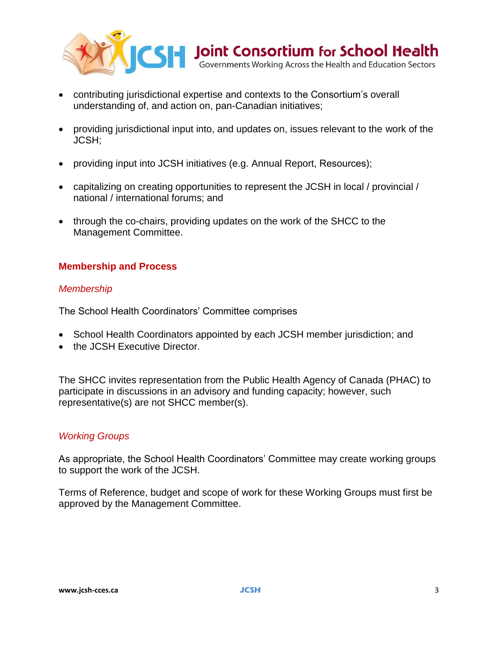

- contributing jurisdictional expertise and contexts to the Consortium's overall understanding of, and action on, pan-Canadian initiatives;
- providing jurisdictional input into, and updates on, issues relevant to the work of the JCSH;
- providing input into JCSH initiatives (e.g. Annual Report, Resources);
- capitalizing on creating opportunities to represent the JCSH in local / provincial / national / international forums; and
- through the co-chairs, providing updates on the work of the SHCC to the Management Committee.

## **Membership and Process**

#### *Membership*

The School Health Coordinators' Committee comprises

- School Health Coordinators appointed by each JCSH member jurisdiction; and
- the JCSH Executive Director.

The SHCC invites representation from the Public Health Agency of Canada (PHAC) to participate in discussions in an advisory and funding capacity; however, such representative(s) are not SHCC member(s).

#### *Working Groups*

As appropriate, the School Health Coordinators' Committee may create working groups to support the work of the JCSH.

Terms of Reference, budget and scope of work for these Working Groups must first be approved by the Management Committee.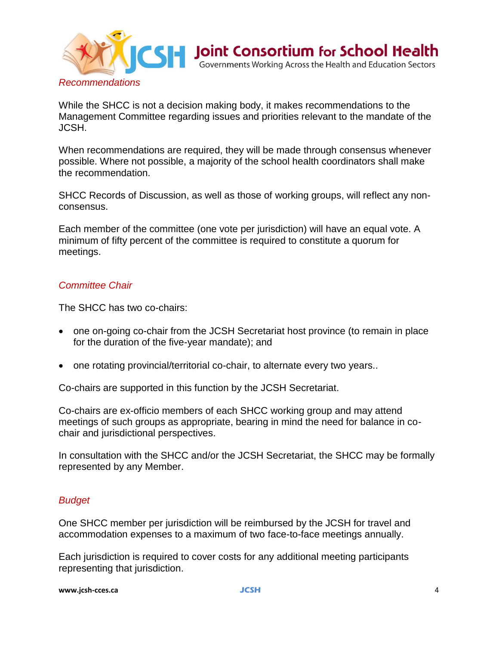

While the SHCC is not a decision making body, it makes recommendations to the Management Committee regarding issues and priorities relevant to the mandate of the JCSH.

When recommendations are required, they will be made through consensus whenever possible. Where not possible, a majority of the school health coordinators shall make the recommendation.

SHCC Records of Discussion, as well as those of working groups, will reflect any nonconsensus.

Each member of the committee (one vote per jurisdiction) will have an equal vote. A minimum of fifty percent of the committee is required to constitute a quorum for meetings.

#### *Committee Chair*

The SHCC has two co-chairs:

- one on-going co-chair from the JCSH Secretariat host province (to remain in place for the duration of the five-year mandate); and
- one rotating provincial/territorial co-chair, to alternate every two years..

Co-chairs are supported in this function by the JCSH Secretariat.

Co-chairs are ex-officio members of each SHCC working group and may attend meetings of such groups as appropriate, bearing in mind the need for balance in cochair and jurisdictional perspectives.

In consultation with the SHCC and/or the JCSH Secretariat, the SHCC may be formally represented by any Member.

#### *Budget*

One SHCC member per jurisdiction will be reimbursed by the JCSH for travel and accommodation expenses to a maximum of two face-to-face meetings annually.

Each jurisdiction is required to cover costs for any additional meeting participants representing that jurisdiction.

**www.jcsh-cces.ca JCSH**4